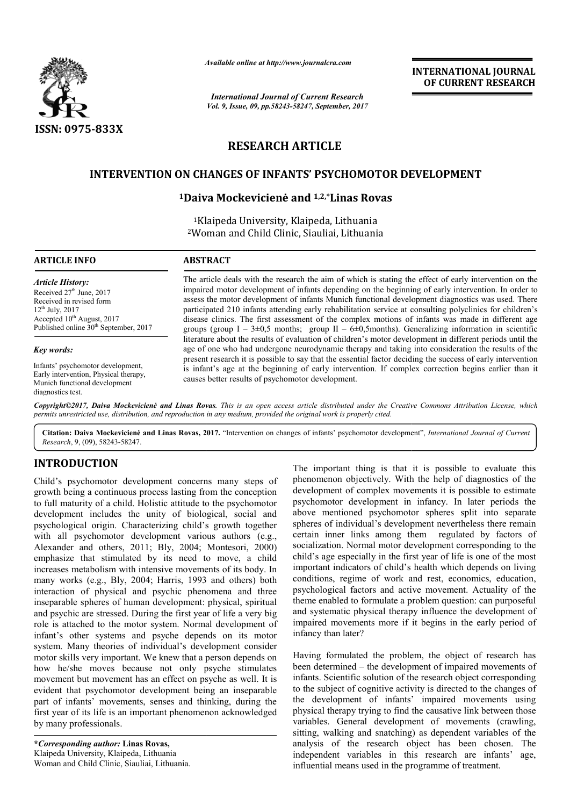

*Available online at http://www.journal http://www.journalcra.com*

*International Journal of Current Research Vol. 9, Issue, 09, pp.58243-58247, September, 2017* **INTERNATIONAL JOURNAL OF CURRENT RESEARCH** 

# **RESEARCH ARTICLE**

# **INTERVENTION ON CHANGES OF INFANTS' PSYCHOMOTOR DEVELOPMENT INTERVENTION ON CHANGES OF**

# **1Daiva Mockevicienė and Daiva 1,2,\*Linas Rovas**

1Klaipeda University, Klaipeda, Lithuania Klaipeda Woman 2Woman and Child Clinic, Siauliai, Lithuania

# **ARTICLE INFO ABSTRACT**

*Article History:* Received 27<sup>th</sup> June, 2017 Received in revised form 12th July, 2017 Accepted 10<sup>th</sup> August, 2017 Published online 30<sup>th</sup> September, 2017

## *Key words:*

Infants' psychomotor development, Early intervention, Physical therapy, Munich functional development diagnostics test.

The article deals with the research the aim of which is stating the effect of early intervention on the The article deals with the research the aim of which is stating the effect of early intervention on the impaired motor development of infants depending on the beginning of early intervention. In order to assess the motor development of infants Munich functional development diagnostics was used. There participated 210 infants attending early rehabilitation service at consulting polyclinics for children's disease clinics. The first assessment of the complex motions of infants was made in different age groups (group  $I - 3 \pm 0.5$  months; group  $II - 6 \pm 0.5$  months). Generalizing information in scientific literature about the results of evaluation of children's motor development in different periods u age of one who had undergone neurodynamic therapy and taking into consideration the results of the present research it is possible to say that the essential factor deciding the success of early intervention age of one who had undergone neurodynamic therapy and taking into consideration the results of the present research it is possible to say that the essential factor deciding the success of early intervention is infant's age causes better results of psychomotor development. assess the motor development of infants Munich functional development diagnostics was used. There participated 210 infants attending early rehabilitation service at consulting polyclinics for children's disease clinics. T

Copyright©2017, Daiva Mockevicienė and Linas Rovas. This is an open access article distributed under the Creative Commons Attribution License, which *permits unrestricted use, distribution, and reproduction in any medium, provided the original work is properly cited.*

Citation: Daiva Mockeviciene and Linas Rovas, 2017. "Intervention on changes of infants' psychomotor development", *International Journal of Current Research*, 9, (09), 58243-58247.

# **INTRODUCTION**

Child's psychomotor development concerns many steps of growth being a continuous process lasting from the conception to full maturity of a child. Holistic attitude to the psychomotor development includes the unity of biological, social and psychological origin. Characterizing child's growth together with all psychomotor development various authors (e.g., Alexander and others, 2011; Bly, 2004; Montesori, 2000) emphasize that stimulated by its need to move, a child increases metabolism with intensive movements of its body. In many works (e.g., Bly, 2004; Harris, 1993 and others) both interaction of physical and psychic phenomena and three inseparable spheres of human development: physical, spiritual and psychic are stressed. During the first year of life a very big role is attached to the motor system. Normal development of infant's other systems and psyche depends on its motor system. Many theories of individual's development consider motor skills very important. We knew that a person depends on how he/she moves because not only psyche stimulates movement but movement has an effect on psyche as well. It is evident that psychomotor development being an inseparable part of infants' movements, senses and thinking, during the first year of its life is an important phenomenon acknowledged by many professionals. igin. Characterizing child's growth together<br>omotor development various authors (e.g.,<br>others, 2011; Bly, 2004; Montesori, 2000)<br>stimulated by its need to move, a child<br>lism with intensive movements of its body. In

**\****Corresponding author:* **Linas Rovas,** Klaipeda University, Klaipeda, Lithuania Woman and Child Clinic, Siauliai, Lithuania. The important thing is that it is possible to evaluate this phenomenon objectively. With the help of diagnostics of the development of complex movements it is possible to estimate psychomotor development in infancy. In later periods the above mentioned psychomotor spheres split into separate spheres of individual's development nevertheless there remain certain inner links among them regulated by factors of socialization. Normal motor development corresponding to the child's age especially in the first year of life is one of the most important indicators of child's health which depends on living conditions, regime of work and rest, economics, education, conditions, regime of work and rest, economics, education, psychological factors and active movement. Actuality of the theme enabled to formulate a problem question: can purposeful and systematic physical therapy influence the development of impaired movements more if it begins in the early period of infancy than later? The important thing is that it is possible to evaluate this phenomenon objectively. With the help of diagnostics of the development of complex movements it is possible to estimate psychomotor development in infancy. In lat certain inner links among them regulated by factors of socialization. Normal motor development corresponding to the child's age especially in the first year of life is one of the most important indicators of child's health is een abled to formulate a problem question: can purposeful<br>systematic physical therapy influence the development of<br>aired movements more if it begins in the early period of<br>ncy than later?<br>ing formulated the problem, the **EXERCTIONAL JOUENNAL FORMAL FORMAL FORMAL FORMAL FORMAL FORMAL FORMAL FORMAL FORMAL TORENT TRESEARCH CORRENT TRESEARCH CORRENT TRESEARCH CORRENT TRESEARCH CORRENT TRESEARCH CORRENT TRESEARCH CORRENT TRESEARCH TRESEARCH T** 

Having formulated the problem, the object of research has been determined – the development of impaired movements of infants. Scientific solution of the research object correspondin to the subject of cognitive activity is directed to the changes of the development of infants' impaired movements using physical therapy trying to find the causative link between those variables. General development of movements (crawling, sitting, walking and snatching) as dependent variables of the analysis of the research object has been chosen. The independent variables in this research are infants' age, influential means used in the programme of treatment.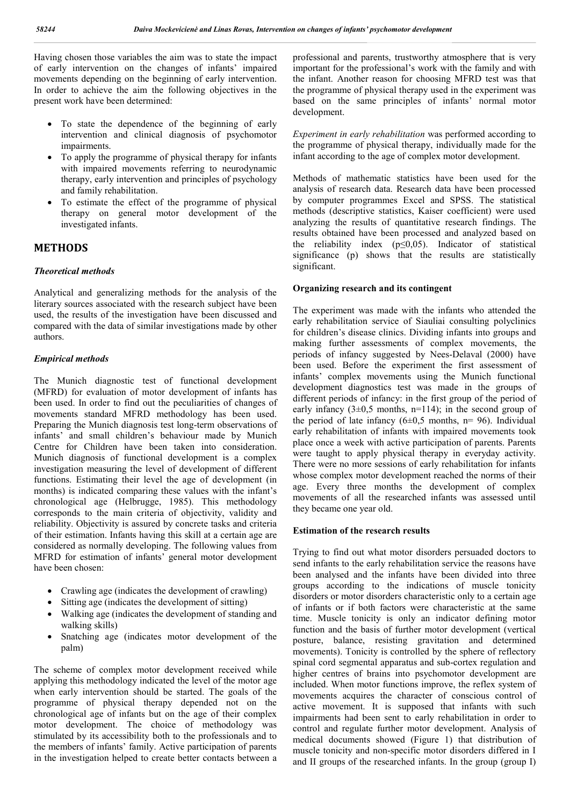Having chosen those variables the aim was to state the impact of early intervention on the changes of infants' impaired movements depending on the beginning of early intervention. In order to achieve the aim the following objectives in the present work have been determined:

- To state the dependence of the beginning of early intervention and clinical diagnosis of psychomotor impairments.
- To apply the programme of physical therapy for infants with impaired movements referring to neurodynamic therapy, early intervention and principles of psychology and family rehabilitation.
- To estimate the effect of the programme of physical therapy on general motor development of the investigated infants.

# **METHODS**

### *Theoretical methods*

Analytical and generalizing methods for the analysis of the literary sources associated with the research subject have been used, the results of the investigation have been discussed and compared with the data of similar investigations made by other authors.

### *Empirical methods*

The Munich diagnostic test of functional development (MFRD) for evaluation of motor development of infants has been used. In order to find out the peculiarities of changes of movements standard MFRD methodology has been used. Preparing the Munich diagnosis test long-term observations of infants' and small children's behaviour made by Munich Centre for Children have been taken into consideration. Munich diagnosis of functional development is a complex investigation measuring the level of development of different functions. Estimating their level the age of development (in months) is indicated comparing these values with the infant's chronological age (Helbrugge, 1985). This methodology corresponds to the main criteria of objectivity, validity and reliability. Objectivity is assured by concrete tasks and criteria of their estimation. Infants having this skill at a certain age are considered as normally developing. The following values from MFRD for estimation of infants' general motor development have been chosen:

- Crawling age (indicates the development of crawling)
- Sitting age (indicates the development of sitting)
- Walking age (indicates the development of standing and walking skills)
- Snatching age (indicates motor development of the palm)

The scheme of complex motor development received while applying this methodology indicated the level of the motor age when early intervention should be started. The goals of the programme of physical therapy depended not on the chronological age of infants but on the age of their complex motor development. The choice of methodology was stimulated by its accessibility both to the professionals and to the members of infants' family. Active participation of parents in the investigation helped to create better contacts between a

professional and parents, trustworthy atmosphere that is very important for the professional's work with the family and with the infant. Another reason for choosing MFRD test was that the programme of physical therapy used in the experiment was based on the same principles of infants' normal motor development.

*Experiment in early rehabilitation* was performed according to the programme of physical therapy, individually made for the infant according to the age of complex motor development.

Methods of mathematic statistics have been used for the analysis of research data. Research data have been processed by computer programmes Excel and SPSS. The statistical methods (descriptive statistics, Kaiser coefficient) were used analyzing the results of quantitative research findings. The results obtained have been processed and analyzed based on the reliability index ( $p \le 0.05$ ). Indicator of statistical significance (p) shows that the results are statistically significant.

# **Organizing research and its contingent**

The experiment was made with the infants who attended the early rehabilitation service of Siauliai consulting polyclinics for children's disease clinics. Dividing infants into groups and making further assessments of complex movements, the periods of infancy suggested by Nees-Delaval (2000) have been used. Before the experiment the first assessment of infants' complex movements using the Munich functional development diagnostics test was made in the groups of different periods of infancy: in the first group of the period of early infancy  $(3\pm0.5 \text{ months}, \text{ n}=114)$ ; in the second group of the period of late infancy  $(6\pm 0.5 \text{ months}, \text{ n} = 96)$ . Individual early rehabilitation of infants with impaired movements took place once a week with active participation of parents. Parents were taught to apply physical therapy in everyday activity. There were no more sessions of early rehabilitation for infants whose complex motor development reached the norms of their age. Every three months the development of complex movements of all the researched infants was assessed until they became one year old.

### **Estimation of the research results**

Trying to find out what motor disorders persuaded doctors to send infants to the early rehabilitation service the reasons have been analysed and the infants have been divided into three groups according to the indications of muscle tonicity disorders or motor disorders characteristic only to a certain age of infants or if both factors were characteristic at the same time. Muscle tonicity is only an indicator defining motor function and the basis of further motor development (vertical posture, balance, resisting gravitation and determined movements). Tonicity is controlled by the sphere of reflectory spinal cord segmental apparatus and sub-cortex regulation and higher centres of brains into psychomotor development are included. When motor functions improve, the reflex system of movements acquires the character of conscious control of active movement. It is supposed that infants with such impairments had been sent to early rehabilitation in order to control and regulate further motor development. Analysis of medical documents showed (Figure 1) that distribution of muscle tonicity and non-specific motor disorders differed in I and II groups of the researched infants. In the group (group I)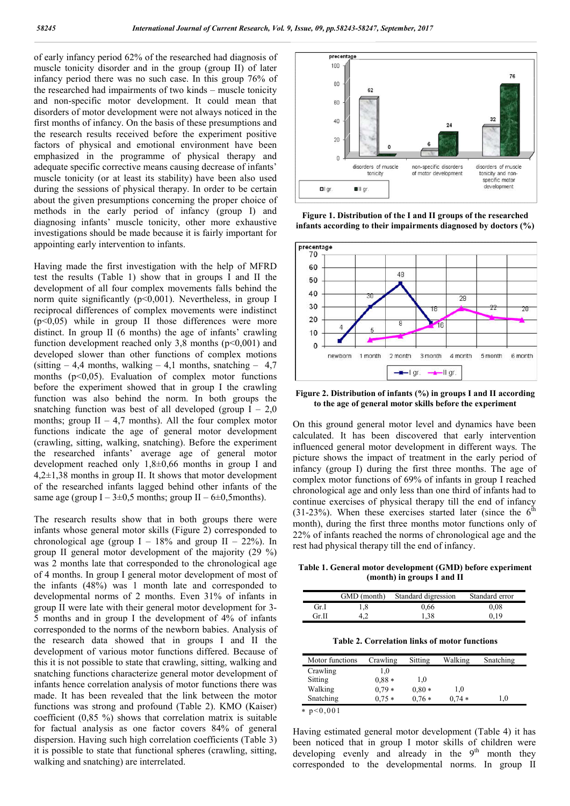of early infancy period 62% of the researched had diagnosis of muscle tonicity disorder and in the group (group II) of later infancy period there was no such case. In this group 76% of the researched had impairments of two kinds – muscle tonicity and non-specific motor development. It could mean that disorders of motor development were not always noticed in the first months of infancy. On the basis of these presumptions and the research results received before the experiment positive factors of physical and emotional environment have been emphasized in the programme of physical therapy and adequate specific corrective means causing decrease of infants' muscle tonicity (or at least its stability) have been also used during the sessions of physical therapy. In order to be certain about the given presumptions concerning the proper choice of methods in the early period of infancy (group I) and diagnosing infants' muscle tonicity, other more exhaustive investigations should be made because it is fairly important for appointing early intervention to infants.

Having made the first investigation with the help of MFRD test the results (Table 1) show that in groups I and II the development of all four complex movements falls behind the norm quite significantly  $(p<0.001)$ . Nevertheless, in group I reciprocal differences of complex movements were indistinct  $(p<0,05)$  while in group II those differences were more distinct. In group II (6 months) the age of infants' crawling function development reached only 3,8 months ( $p<0,001$ ) and developed slower than other functions of complex motions (sitting  $-4,4$  months, walking  $-4,1$  months, snatching  $-4,7$ months  $(p<0,05)$ . Evaluation of complex motor functions before the experiment showed that in group I the crawling function was also behind the norm. In both groups the snatching function was best of all developed (group  $I - 2.0$ ) months; group  $II - 4.7$  months). All the four complex motor functions indicate the age of general motor development (crawling, sitting, walking, snatching). Before the experiment the researched infants' average age of general motor development reached only 1,8±0,66 months in group I and 4,2±1,38 months in group II. It shows that motor development of the researched infants lagged behind other infants of the same age (group  $I - 3 \pm 0.5$  months; group  $II - 6 \pm 0.5$  months).

The research results show that in both groups there were infants whose general motor skills (Figure 2) corresponded to chronological age (group  $I - 18%$  and group  $II - 22%$ ). In group II general motor development of the majority (29 %) was 2 months late that corresponded to the chronological age of 4 months. In group I general motor development of most of the infants (48%) was 1 month late and corresponded to developmental norms of 2 months. Even 31% of infants in group II were late with their general motor development for 3- 5 months and in group I the development of 4% of infants corresponded to the norms of the newborn babies. Analysis of the research data showed that in groups I and II the development of various motor functions differed. Because of this it is not possible to state that crawling, sitting, walking and snatching functions characterize general motor development of infants hence correlation analysis of motor functions there was made. It has been revealed that the link between the motor functions was strong and profound (Table 2). KMO (Kaiser) coefficient (0,85 %) shows that correlation matrix is suitable for factual analysis as one factor covers 84% of general dispersion. Having such high correlation coefficients (Table 3) it is possible to state that functional spheres (crawling, sitting, walking and snatching) are interrelated.



**Figure 1. Distribution of the I and II groups of the researched infants according to their impairments diagnosed by doctors (%)**



**Figure 2. Distribution of infants (%) in groups I and II according to the age of general motor skills before the experiment**

On this ground general motor level and dynamics have been calculated. It has been discovered that early intervention influenced general motor development in different ways. The picture shows the impact of treatment in the early period of infancy (group I) during the first three months. The age of complex motor functions of 69% of infants in group I reached chronological age and only less than one third of infants had to continue exercises of physical therapy till the end of infancy (31-23%). When these exercises started later (since the  $6<sup>th</sup>$ month), during the first three months motor functions only of 22% of infants reached the norms of chronological age and the rest had physical therapy till the end of infancy.

**Table 1. General motor development (GMD) before experiment (month) in groups I and II**

|       | GMD (month) | Standard digression | Standard error |
|-------|-------------|---------------------|----------------|
| Gr.I  | 1.8         | 0.66                | 0.08           |
| Gr. H |             | 1.38                | 0.19           |

**Table 2. Correlation links of motor functions**

| Motor functions | Crawling | Sitting | Walking | Snatching |
|-----------------|----------|---------|---------|-----------|
| Crawling        | 1.0      |         |         |           |
| Sitting         | $0.88 *$ | 1.0     |         |           |
| Walking         | $0.79*$  | $0.80*$ | 1.0     |           |
| Snatching       | $0.75*$  | $0.76*$ | $0.74*$ | 1.0       |
| $+ -0.01$       |          |         |         |           |

 $* p < 0,001$ 

Having estimated general motor development (Table 4) it has been noticed that in group I motor skills of children were developing evenly and already in the  $9<sup>th</sup>$  month they corresponded to the developmental norms. In group II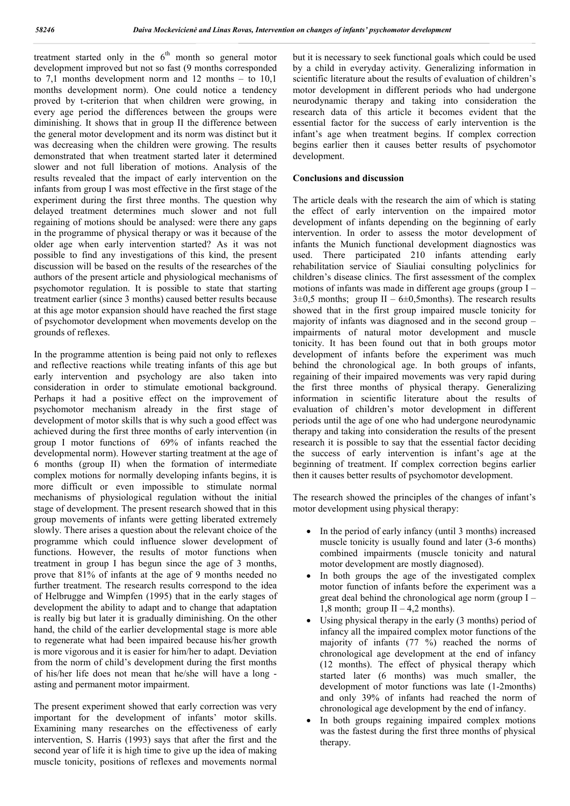treatment started only in the  $6<sup>th</sup>$  month so general motor development improved but not so fast (9 months corresponded to 7,1 months development norm and 12 months – to 10,1 months development norm). One could notice a tendency proved by t-criterion that when children were growing, in every age period the differences between the groups were diminishing. It shows that in group II the difference between the general motor development and its norm was distinct but it was decreasing when the children were growing. The results demonstrated that when treatment started later it determined slower and not full liberation of motions. Analysis of the results revealed that the impact of early intervention on the infants from group I was most effective in the first stage of the experiment during the first three months. The question why delayed treatment determines much slower and not full regaining of motions should be analysed: were there any gaps in the programme of physical therapy or was it because of the older age when early intervention started? As it was not possible to find any investigations of this kind, the present discussion will be based on the results of the researches of the authors of the present article and physiological mechanisms of psychomotor regulation. It is possible to state that starting treatment earlier (since 3 months) caused better results because at this age motor expansion should have reached the first stage of psychomotor development when movements develop on the grounds of reflexes.

In the programme attention is being paid not only to reflexes and reflective reactions while treating infants of this age but early intervention and psychology are also taken into consideration in order to stimulate emotional background. Perhaps it had a positive effect on the improvement of psychomotor mechanism already in the first stage of development of motor skills that is why such a good effect was achieved during the first three months of early intervention (in group I motor functions of 69% of infants reached the developmental norm). However starting treatment at the age of 6 months (group II) when the formation of intermediate complex motions for normally developing infants begins, it is more difficult or even impossible to stimulate normal mechanisms of physiological regulation without the initial stage of development. The present research showed that in this group movements of infants were getting liberated extremely slowly. There arises a question about the relevant choice of the programme which could influence slower development of functions. However, the results of motor functions when treatment in group I has begun since the age of 3 months, prove that 81% of infants at the age of 9 months needed no further treatment. The research results correspond to the idea of Helbrugge and Wimpfen (1995) that in the early stages of development the ability to adapt and to change that adaptation is really big but later it is gradually diminishing. On the other hand, the child of the earlier developmental stage is more able to regenerate what had been impaired because his/her growth is more vigorous and it is easier for him/her to adapt. Deviation from the norm of child's development during the first months of his/her life does not mean that he/she will have a long asting and permanent motor impairment.

The present experiment showed that early correction was very important for the development of infants' motor skills. Examining many researches on the effectiveness of early intervention, S. Harris (1993) says that after the first and the second year of life it is high time to give up the idea of making muscle tonicity, positions of reflexes and movements normal but it is necessary to seek functional goals which could be used by a child in everyday activity. Generalizing information in scientific literature about the results of evaluation of children's motor development in different periods who had undergone neurodynamic therapy and taking into consideration the research data of this article it becomes evident that the essential factor for the success of early intervention is the infant's age when treatment begins. If complex correction begins earlier then it causes better results of psychomotor development.

## **Conclusions and discussion**

The article deals with the research the aim of which is stating the effect of early intervention on the impaired motor development of infants depending on the beginning of early intervention. In order to assess the motor development of infants the Munich functional development diagnostics was used. There participated 210 infants attending early rehabilitation service of Siauliai consulting polyclinics for children's disease clinics. The first assessment of the complex motions of infants was made in different age groups (group I –  $3\pm0.5$  months; group II – 6 $\pm0.5$  months). The research results showed that in the first group impaired muscle tonicity for majority of infants was diagnosed and in the second group – impairments of natural motor development and muscle tonicity. It has been found out that in both groups motor development of infants before the experiment was much behind the chronological age. In both groups of infants, regaining of their impaired movements was very rapid during the first three months of physical therapy. Generalizing information in scientific literature about the results of evaluation of children's motor development in different periods until the age of one who had undergone neurodynamic therapy and taking into consideration the results of the present research it is possible to say that the essential factor deciding the success of early intervention is infant's age at the beginning of treatment. If complex correction begins earlier then it causes better results of psychomotor development.

The research showed the principles of the changes of infant's motor development using physical therapy:

- In the period of early infancy (until 3 months) increased muscle tonicity is usually found and later (3-6 months) combined impairments (muscle tonicity and natural motor development are mostly diagnosed).
- In both groups the age of the investigated complex motor function of infants before the experiment was a great deal behind the chronological age norm (group I – 1,8 month; group  $II - 4,2$  months).
- Using physical therapy in the early (3 months) period of infancy all the impaired complex motor functions of the majority of infants (77 %) reached the norms of chronological age development at the end of infancy (12 months). The effect of physical therapy which started later (6 months) was much smaller, the development of motor functions was late (1-2months) and only 39% of infants had reached the norm of chronological age development by the end of infancy.
- In both groups regaining impaired complex motions was the fastest during the first three months of physical therapy.